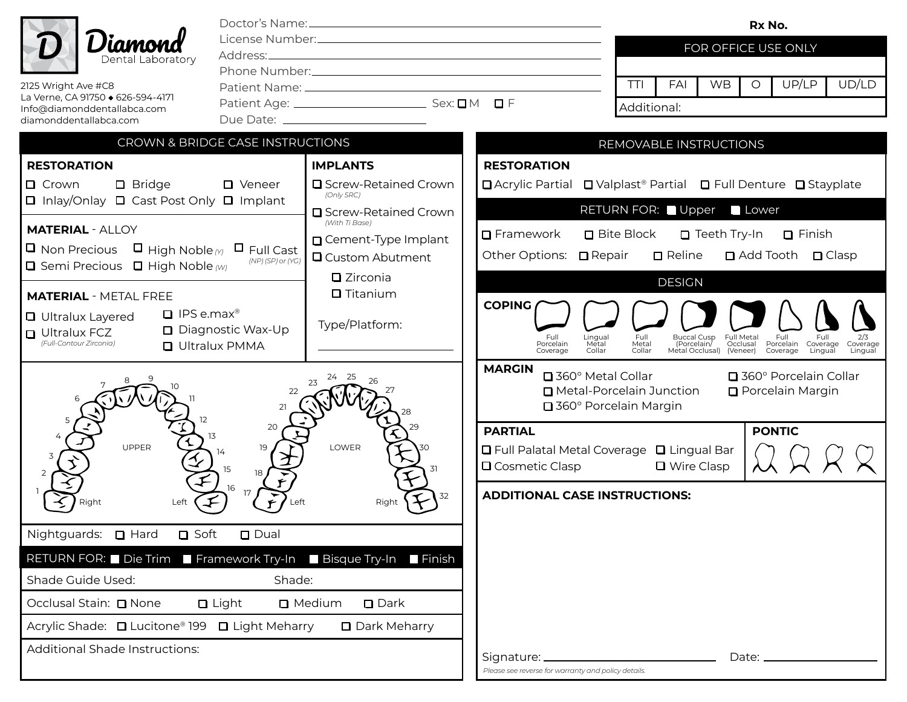|                                                                                                                                                                              |                                          | Rx No.                                                                                                                                                                                    |  |
|------------------------------------------------------------------------------------------------------------------------------------------------------------------------------|------------------------------------------|-------------------------------------------------------------------------------------------------------------------------------------------------------------------------------------------|--|
| )ental Laboratorv                                                                                                                                                            |                                          | FOR OFFICE USE ONLY                                                                                                                                                                       |  |
| 2125 Wright Ave #C8                                                                                                                                                          |                                          | UD/LD<br>TTI<br><b>WB</b><br>UP/LP<br>FAI<br>$\circ$                                                                                                                                      |  |
| La Verne, CA 91750 + 626-594-4171<br>Info@diamonddentallabca.com                                                                                                             |                                          | D F<br>Additional:                                                                                                                                                                        |  |
| diamonddentallabca.com                                                                                                                                                       |                                          |                                                                                                                                                                                           |  |
| CROWN & BRIDGE CASE INSTRUCTIONS<br>REMOVABLE INSTRUCTIONS                                                                                                                   |                                          |                                                                                                                                                                                           |  |
| <b>RESTORATION</b>                                                                                                                                                           | <b>IMPLANTS</b>                          | <b>RESTORATION</b>                                                                                                                                                                        |  |
| $\Box$ Bridge<br>$\Box$ Crown<br>$\Box$ Veneer<br>$\Box$ Inlay/Onlay $\Box$ Cast Post Only $\Box$ Implant                                                                    | □ Screw-Retained Crown<br>(Only SRC)     | <b>□</b> Valplast <sup>®</sup> Partial □ Full Denture □ Stayplate<br>□ Acrylic Partial                                                                                                    |  |
|                                                                                                                                                                              | □ Screw-Retained Crown<br>(With Ti Base) | RETURN FOR: Upper<br>Lower                                                                                                                                                                |  |
| <b>MATERIAL - ALLOY</b>                                                                                                                                                      | □ Cement-Type Implant                    | Teeth Try-In<br>$\Box$ Framework<br><b>□</b> Bite Block<br>$\Box$ Finish                                                                                                                  |  |
| $\blacksquare$ High Noble $\scriptscriptstyle(\gamma)$<br><b>O</b> Non Precious<br>$\Box$ Full Cast<br>(NP) (SP) or (YG)<br><b>O</b> Semi Precious <b>O</b> High Noble $(w)$ | <b>Q</b> Custom Abutment                 | $\Box$ Reline<br><b>□</b> Add Tooth □ Clasp<br>Other Options:<br>$\Box$ Repair                                                                                                            |  |
|                                                                                                                                                                              | $\square$ Zirconia<br>$\Box$ Titanium    | <b>DESIGN</b>                                                                                                                                                                             |  |
| <b>MATERIAL - METAL FREE</b><br>$\Box$ IPS e.max <sup>®</sup>                                                                                                                |                                          | <b>COPING</b>                                                                                                                                                                             |  |
| <b>Q</b> Ultralux Layered<br>$\Box$ Diagnostic Wax-Up<br>$\Box$ Ultralux FCZ                                                                                                 | Type/Platform:                           | <b>Buccal Cusp</b><br>Full<br>Lingual<br>Full<br>Full Metal<br>Full.<br>Full                                                                                                              |  |
| (Full-Contour Zirconia)<br>□ Ultralux PMMA                                                                                                                                   |                                          | Metal<br>(Porcelain)<br>Occlusal<br>Porcelain<br>Porcelain<br>Metal<br>Coverage<br>Coverage<br>Collar<br>Collar<br>Metal Occlusal) (Veneer)<br>Coverage<br>Lingual<br>Lingual<br>Coverage |  |
|                                                                                                                                                                              |                                          | <b>MARGIN</b><br>□ 360° Metal Collar<br>□ 360° Porcelain Collar<br>Metal-Porcelain Junction<br><b>D</b> Porcelain Margin<br>□ 360° Porcelain Margin                                       |  |
| 20                                                                                                                                                                           |                                          | <b>PONTIC</b><br><b>PARTIAL</b>                                                                                                                                                           |  |
| <b>UPPER</b><br>15                                                                                                                                                           | LOWER<br>31                              | □ Full Palatal Metal Coverage □ Lingual Bar<br>□ Wire Clasp<br>$\Box$ Cosmetic Clasp                                                                                                      |  |
| 16<br>Left                                                                                                                                                                   | 32<br>Right                              | <b>ADDITIONAL CASE INSTRUCTIONS:</b>                                                                                                                                                      |  |
| Nightguards: $\Box$ Hard<br>$\Box$ Dual<br>$\Box$ Soft                                                                                                                       |                                          |                                                                                                                                                                                           |  |
| RETURN FOR: Die Trim ■ Framework Try-In ■ Bisque Try-In ■ Finish                                                                                                             |                                          |                                                                                                                                                                                           |  |
| Shade Guide Used:                                                                                                                                                            | Shade:                                   |                                                                                                                                                                                           |  |
| Occlusal Stain: □ None<br>$\Box$ Light<br>□ Medium<br>$\Box$ Dark                                                                                                            |                                          |                                                                                                                                                                                           |  |
| Acrylic Shade: □ Lucitone® 199 □ Light Meharry<br>□ Dark Meharry                                                                                                             |                                          |                                                                                                                                                                                           |  |
| <b>Additional Shade Instructions:</b>                                                                                                                                        |                                          | $Date:$ $\_\_$<br>Signature: __<br>Please see reverse for warranty and policy details.                                                                                                    |  |